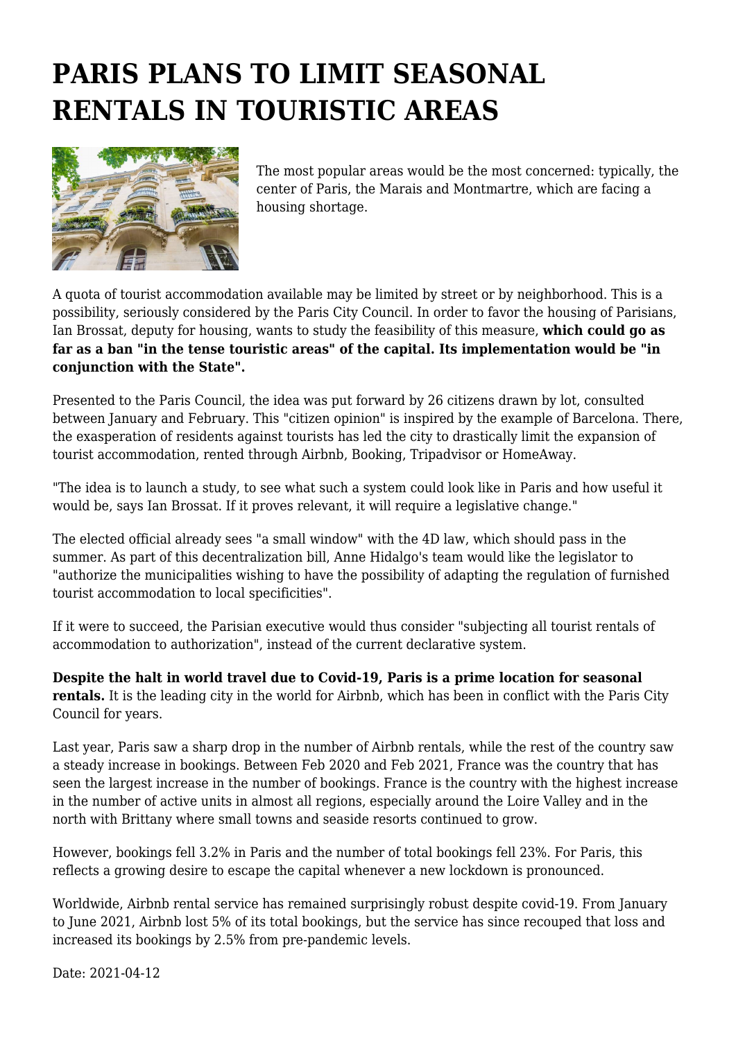## **PARIS PLANS TO LIMIT SEASONAL RENTALS IN TOURISTIC AREAS**



The most popular areas would be the most concerned: typically, the center of Paris, the Marais and Montmartre, which are facing a housing shortage.

A quota of tourist accommodation available may be limited by street or by neighborhood. This is a possibility, seriously considered by the Paris City Council. In order to favor the housing of Parisians, Ian Brossat, deputy for housing, wants to study the feasibility of this measure, **which could go as far as a ban "in the tense touristic areas" of the capital. Its implementation would be "in conjunction with the State".**

Presented to the Paris Council, the idea was put forward by 26 citizens drawn by lot, consulted between January and February. This "citizen opinion" is inspired by the example of Barcelona. There, the exasperation of residents against tourists has led the city to drastically limit the expansion of tourist accommodation, rented through Airbnb, Booking, Tripadvisor or HomeAway.

"The idea is to launch a study, to see what such a system could look like in Paris and how useful it would be, says Ian Brossat. If it proves relevant, it will require a legislative change."

The elected official already sees "a small window" with the 4D law, which should pass in the summer. As part of this decentralization bill, Anne Hidalgo's team would like the legislator to "authorize the municipalities wishing to have the possibility of adapting the regulation of furnished tourist accommodation to local specificities".

If it were to succeed, the Parisian executive would thus consider "subjecting all tourist rentals of accommodation to authorization", instead of the current declarative system.

**Despite the halt in world travel due to Covid-19, Paris is a prime location for seasonal rentals.** It is the leading city in the world for Airbnb, which has been in conflict with the Paris City Council for years.

Last year, Paris saw a sharp drop in the number of Airbnb rentals, while the rest of the country saw a steady increase in bookings. Between Feb 2020 and Feb 2021, France was the country that has seen the largest increase in the number of bookings. France is the country with the highest increase in the number of active units in almost all regions, especially around the Loire Valley and in the north with Brittany where small towns and seaside resorts continued to grow.

However, bookings fell 3.2% in Paris and the number of total bookings fell 23%. For Paris, this reflects a growing desire to escape the capital whenever a new lockdown is pronounced.

Worldwide, Airbnb rental service has remained surprisingly robust despite covid-19. From January to June 2021, Airbnb lost 5% of its total bookings, but the service has since recouped that loss and increased its bookings by 2.5% from pre-pandemic levels.

Date: 2021-04-12